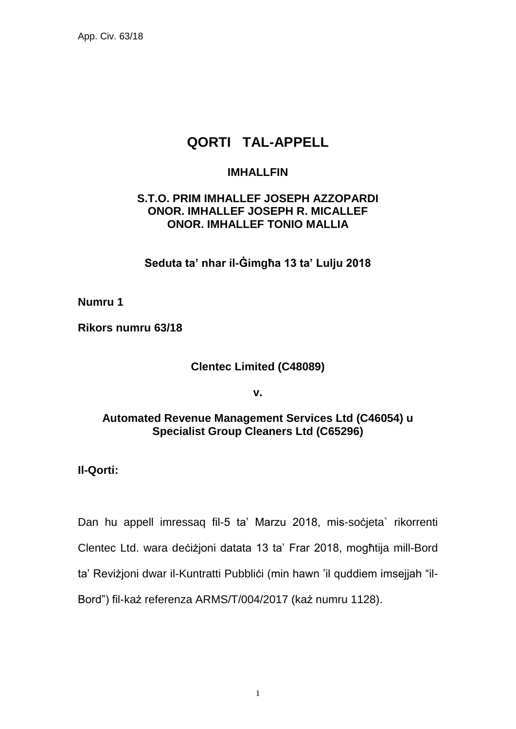App. Civ. 63/18

# **QORTI TAL-APPELL**

## **IMHALLFIN**

# **S.T.O. PRIM IMHALLEF JOSEPH AZZOPARDI ONOR. IMHALLEF JOSEPH R. MICALLEF ONOR. IMHALLEF TONIO MALLIA**

**Seduta ta' nhar il-Ġimgħa 13 ta' Lulju 2018**

**Numru 1**

**Rikors numru 63/18**

#### **Clentec Limited (C48089)**

**v.**

## **Automated Revenue Management Services Ltd (C46054) u Specialist Group Cleaners Ltd (C65296)**

**Il-Qorti:**

Dan hu appell imressaq fil-5 ta' Marzu 2018, mis-soċjeta` rikorrenti Clentec Ltd. wara deċiżjoni datata 13 ta' Frar 2018, mogħtija mill-Bord ta' Reviżjoni dwar il-Kuntratti Pubblići (min hawn 'il quddiem imsejjah "il-Bord") fil-każ referenza ARMS/T/004/2017 (każ numru 1128).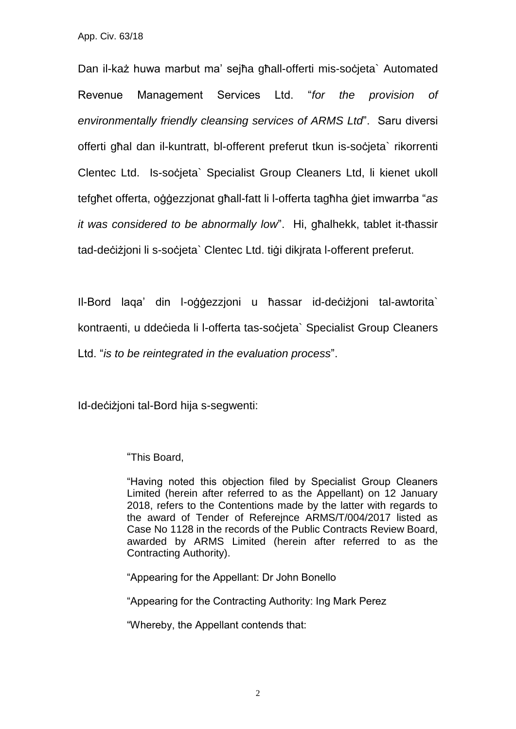Dan il-każ huwa marbut ma' sejħa għall-offerti mis-soċjeta` Automated Revenue Management Services Ltd. "*for the provision of environmentally friendly cleansing services of ARMS Ltd*". Saru diversi offerti għal dan il-kuntratt, bl-offerent preferut tkun is-soċjeta` rikorrenti Clentec Ltd. Is-socjeta` Specialist Group Cleaners Ltd, li kienet ukoll tefgħet offerta, oġġezzjonat għall-fatt li l-offerta tagħha ġiet imwarrba "*as it was considered to be abnormally low*". Hi, għalhekk, tablet it-tħassir tad-deċiżjoni li s-soċjeta` Clentec Ltd. tiġi dikjrata l-offerent preferut.

Il-Bord laqa' din l-oġġezzjoni u ħassar id-deċiżjoni tal-awtorita` kontraenti, u ddeċieda li l-offerta tas-soċjeta` Specialist Group Cleaners Ltd. "*is to be reintegrated in the evaluation process*".

Id-deċiżjoni tal-Bord hija s-segwenti:

"This Board,

"Having noted this objection filed by Specialist Group Cleaners Limited (herein after referred to as the Appellant) on 12 January 2018, refers to the Contentions made by the latter with regards to the award of Tender of Referejnce ARMS/T/004/2017 listed as Case No 1128 in the records of the Public Contracts Review Board, awarded by ARMS Limited (herein after referred to as the Contracting Authority).

"Appearing for the Appellant: Dr John Bonello

"Appearing for the Contracting Authority: Ing Mark Perez

"Whereby, the Appellant contends that: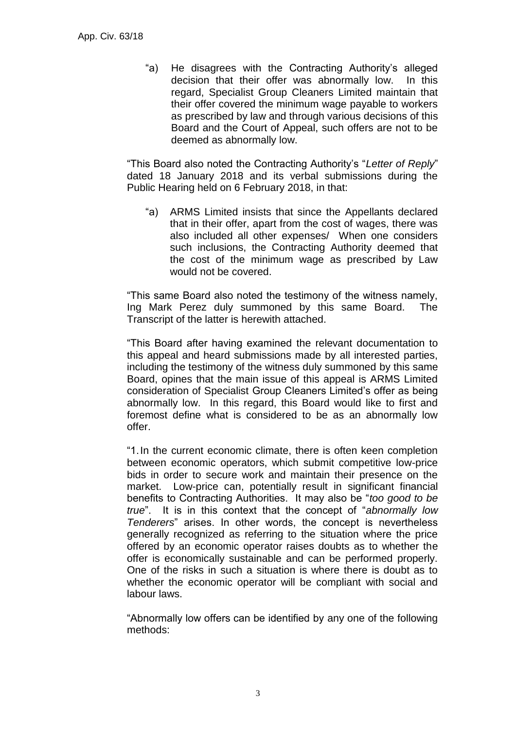"a) He disagrees with the Contracting Authority's alleged decision that their offer was abnormally low. In this regard, Specialist Group Cleaners Limited maintain that their offer covered the minimum wage payable to workers as prescribed by law and through various decisions of this Board and the Court of Appeal, such offers are not to be deemed as abnormally low.

"This Board also noted the Contracting Authority's "*Letter of Reply*" dated 18 January 2018 and its verbal submissions during the Public Hearing held on 6 February 2018, in that:

"a) ARMS Limited insists that since the Appellants declared that in their offer, apart from the cost of wages, there was also included all other expenses/ When one considers such inclusions, the Contracting Authority deemed that the cost of the minimum wage as prescribed by Law would not be covered.

"This same Board also noted the testimony of the witness namely, Ing Mark Perez duly summoned by this same Board. The Transcript of the latter is herewith attached.

"This Board after having examined the relevant documentation to this appeal and heard submissions made by all interested parties, including the testimony of the witness duly summoned by this same Board, opines that the main issue of this appeal is ARMS Limited consideration of Specialist Group Cleaners Limited's offer as being abnormally low. In this regard, this Board would like to first and foremost define what is considered to be as an abnormally low offer.

"1.In the current economic climate, there is often keen completion between economic operators, which submit competitive low-price bids in order to secure work and maintain their presence on the market. Low-price can, potentially result in significant financial benefits to Contracting Authorities. It may also be "*too good to be true*". It is in this context that the concept of "*abnormally low Tenderers*" arises. In other words, the concept is nevertheless generally recognized as referring to the situation where the price offered by an economic operator raises doubts as to whether the offer is economically sustainable and can be performed properly. One of the risks in such a situation is where there is doubt as to whether the economic operator will be compliant with social and labour laws.

"Abnormally low offers can be identified by any one of the following methods: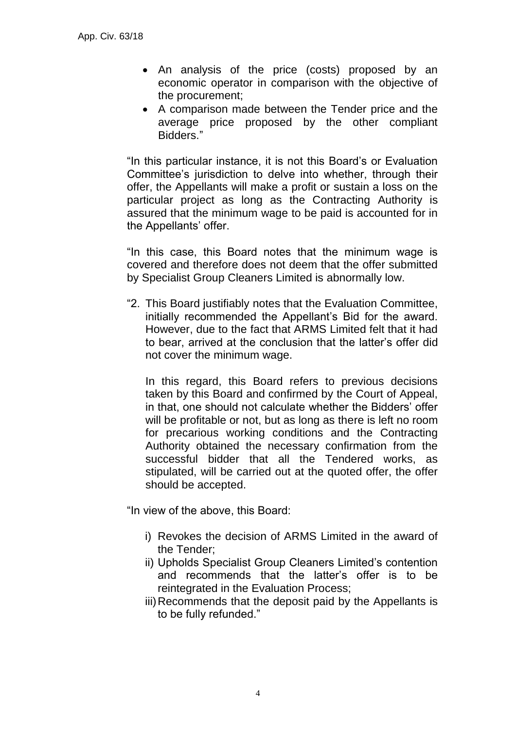- An analysis of the price (costs) proposed by an economic operator in comparison with the objective of the procurement;
- A comparison made between the Tender price and the average price proposed by the other compliant Bidders."

"In this particular instance, it is not this Board's or Evaluation Committee's jurisdiction to delve into whether, through their offer, the Appellants will make a profit or sustain a loss on the particular project as long as the Contracting Authority is assured that the minimum wage to be paid is accounted for in the Appellants' offer.

"In this case, this Board notes that the minimum wage is covered and therefore does not deem that the offer submitted by Specialist Group Cleaners Limited is abnormally low.

"2. This Board justifiably notes that the Evaluation Committee, initially recommended the Appellant's Bid for the award. However, due to the fact that ARMS Limited felt that it had to bear, arrived at the conclusion that the latter's offer did not cover the minimum wage.

In this regard, this Board refers to previous decisions taken by this Board and confirmed by the Court of Appeal, in that, one should not calculate whether the Bidders' offer will be profitable or not, but as long as there is left no room for precarious working conditions and the Contracting Authority obtained the necessary confirmation from the successful bidder that all the Tendered works, as stipulated, will be carried out at the quoted offer, the offer should be accepted.

"In view of the above, this Board:

- i) Revokes the decision of ARMS Limited in the award of the Tender;
- ii) Upholds Specialist Group Cleaners Limited's contention and recommends that the latter's offer is to be reintegrated in the Evaluation Process;
- iii)Recommends that the deposit paid by the Appellants is to be fully refunded."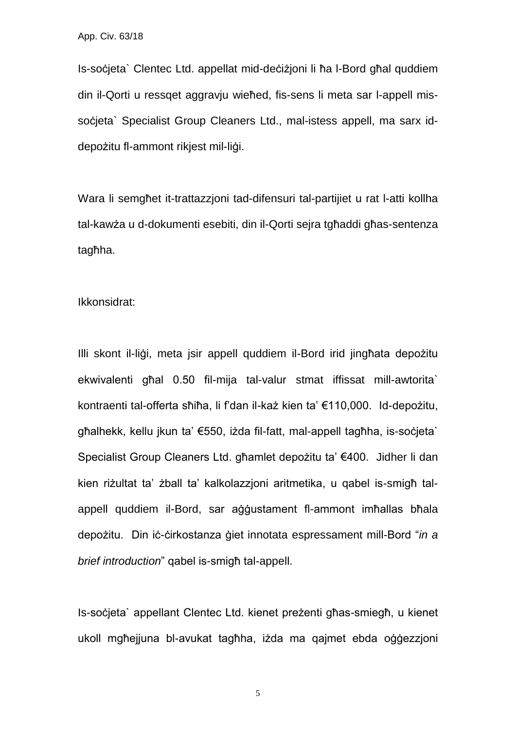Is-soċjeta` Clentec Ltd. appellat mid-deċiżjoni li ħa l-Bord għal quddiem din il-Qorti u ressqet aggravju wieħed, fis-sens li meta sar l-appell missocieta` Specialist Group Cleaners Ltd., mal-istess appell, ma sarx iddepożitu fl-ammont rikjest mil-liġi.

Wara li semgħet it-trattazzjoni tad-difensuri tal-partijiet u rat l-atti kollha tal-kawża u d-dokumenti esebiti, din il-Qorti sejra tgħaddi għas-sentenza tagħha.

#### Ikkonsidrat:

Illi skont il-liġi, meta jsir appell quddiem il-Bord irid jingħata depożitu ekwivalenti għal 0.50 fil-mija tal-valur stmat iffissat mill-awtorita` kontraenti tal-offerta sħiħa, li f'dan il-każ kien ta' €110,000. Id-depożitu, għalhekk, kellu jkun ta' €550, iżda fil-fatt, mal-appell tagħha, is-soċjeta` Specialist Group Cleaners Ltd. għamlet depożitu ta' €400. Jidher li dan kien riżultat ta' żball ta' kalkolazzjoni aritmetika, u qabel is-smigħ talappell quddiem il-Bord, sar aġġustament fl-ammont imħallas bħala depożitu. Din iċ-ċirkostanza ġiet innotata espressament mill-Bord "*in a brief introduction*" qabel is-smigħ tal-appell.

Is-soċjeta` appellant Clentec Ltd. kienet preżenti għas-smiegħ, u kienet ukoll mgħejjuna bl-avukat tagħha, iżda ma qajmet ebda oġġezzjoni

5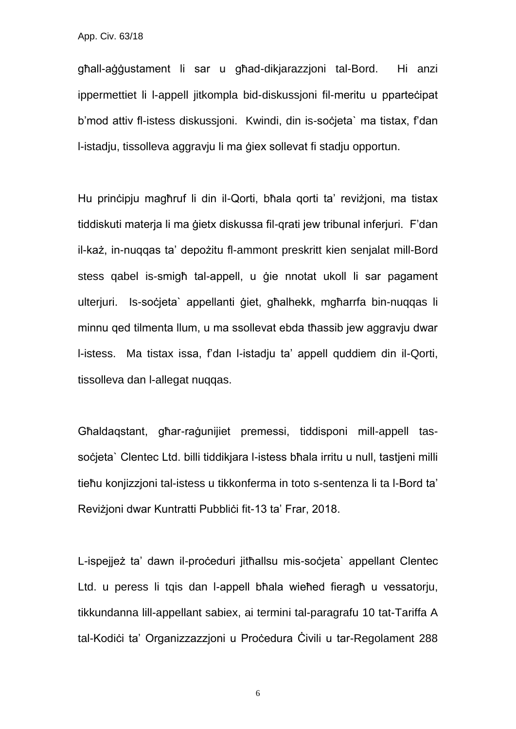App. Civ. 63/18

għall-aġġustament li sar u għad-dikjarazzjoni tal-Bord. Hi anzi ippermettiet li l-appell jitkompla bid-diskussjoni fil-meritu u pparteċipat b'mod attiv fl-istess diskussioni. Kwindi, din is-societa` ma tistax, f'dan l-istadju, tissolleva aggravju li ma ġiex sollevat fi stadju opportun.

Hu prinċipju magħruf li din il-Qorti, bħala qorti ta' reviżjoni, ma tistax tiddiskuti materja li ma ġietx diskussa fil-qrati jew tribunal inferjuri. F'dan il-każ, in-nuqqas ta' depożitu fl-ammont preskritt kien senjalat mill-Bord stess qabel is-smigħ tal-appell, u ġie nnotat ukoll li sar pagament ulterjuri. Is-societa` appellanti giet, għalhekk, mgħarrfa bin-nuqqas li minnu qed tilmenta llum, u ma ssollevat ebda tħassib jew aggravju dwar l-istess. Ma tistax issa, f'dan l-istadju ta' appell quddiem din il-Qorti, tissolleva dan l-allegat nuqqas.

Għaldaqstant, għar-raġunijiet premessi, tiddisponi mill-appell tassocieta` Clentec Ltd. billi tiddikjara l-istess bħala irritu u null, tastjeni milli tieħu konjizzjoni tal-istess u tikkonferma in toto s-sentenza li ta l-Bord ta' Reviżjoni dwar Kuntratti Pubblići fit-13 ta' Frar, 2018.

L-ispejjeż ta' dawn il-proċeduri jitħallsu mis-soċjeta` appellant Clentec Ltd. u peress li tqis dan l-appell bħala wieħed fieragħ u vessatorju, tikkundanna lill-appellant sabiex, ai termini tal-paragrafu 10 tat-Tariffa A tal-Kodiċi ta' Organizzazzjoni u Proċedura Ċivili u tar-Regolament 288

6